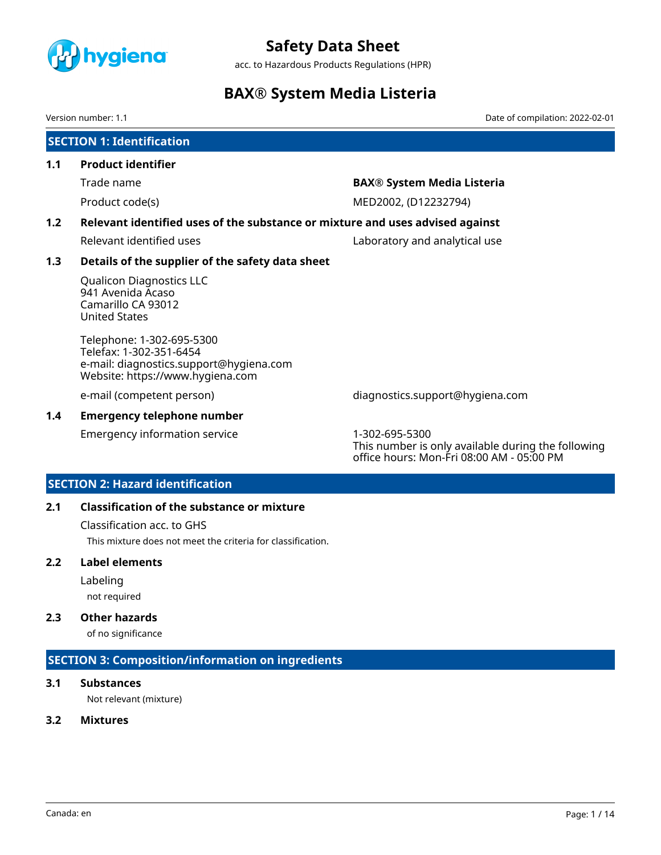

acc. to Hazardous Products Regulations (HPR)

# **BAX® System Media Listeria**

Version number: 1.1 Date of compilation: 2022-02-01

# **SECTION 1: Identification**

#### **1.1 Product identifier**

# Trade name **BAX® System Media Listeria**

Product code(s) MED2002, (D12232794)

# **1.2 Relevant identified uses of the substance or mixture and uses advised against**

Relevant identified uses **Laboratory and analytical use** 

# **1.3 Details of the supplier of the safety data sheet**

Qualicon Diagnostics LLC 941 Avenida Acaso Camarillo CA 93012 United States

Telephone: 1-302-695-5300 Telefax: 1-302-351-6454 e-mail: diagnostics.support@hygiena.com Website: https://www.hygiena.com

# **1.4 Emergency telephone number**

Emergency information service 1-302-695-5300

e-mail (competent person) diagnostics.support@hygiena.com

This number is only available during the following office hours: Mon-Fri 08:00 AM - 05:00 PM

# **SECTION 2: Hazard identification**

# **2.1 Classification of the substance or mixture**

Classification acc. to GHS This mixture does not meet the criteria for classification.

# **2.2 Label elements**

Labeling

not required

# **2.3 Other hazards**

of no significance

# **SECTION 3: Composition/information on ingredients**

# **3.1 Substances**

Not relevant (mixture)

# **3.2 Mixtures**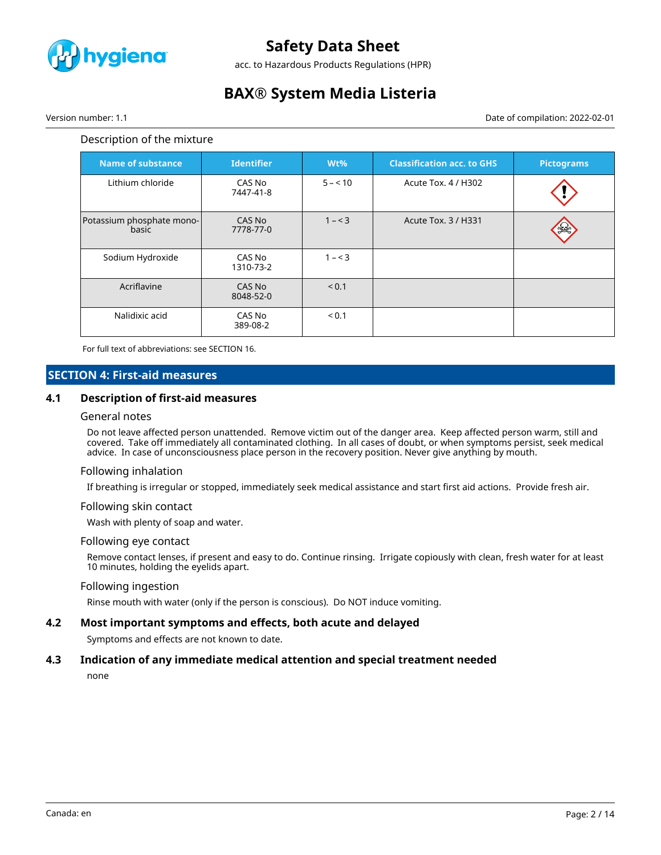

acc. to Hazardous Products Regulations (HPR)

# **BAX® System Media Listeria**

Version number: 1.1 Date of compilation: 2022-02-01

#### Description of the mixture

| <b>Name of substance</b>           | <b>Identifier</b>   | $Wt\%$   | <b>Classification acc. to GHS</b> | <b>Pictograms</b> |
|------------------------------------|---------------------|----------|-----------------------------------|-------------------|
| Lithium chloride                   | CAS No<br>7447-41-8 | $5 - 10$ | Acute Tox. 4 / H302               |                   |
| Potassium phosphate mono-<br>basic | CAS No<br>7778-77-0 | $1 - 3$  | Acute Tox. 3 / H331               |                   |
| Sodium Hydroxide                   | CAS No<br>1310-73-2 | $1 - 3$  |                                   |                   |
| Acriflavine                        | CAS No<br>8048-52-0 | < 0.1    |                                   |                   |
| Nalidixic acid                     | CAS No<br>389-08-2  | < 0.1    |                                   |                   |

For full text of abbreviations: see SECTION 16.

# **SECTION 4: First-aid measures**

#### **4.1 Description of first-aid measures**

#### General notes

Do not leave affected person unattended. Remove victim out of the danger area. Keep affected person warm, still and covered. Take off immediately all contaminated clothing. In all cases of doubt, or when symptoms persist, seek medical advice. In case of unconsciousness place person in the recovery position. Never give anything by mouth.

#### Following inhalation

If breathing is irregular or stopped, immediately seek medical assistance and start first aid actions. Provide fresh air.

#### Following skin contact

Wash with plenty of soap and water.

#### Following eye contact

Remove contact lenses, if present and easy to do. Continue rinsing. Irrigate copiously with clean, fresh water for at least 10 minutes, holding the eyelids apart.

#### Following ingestion

Rinse mouth with water (only if the person is conscious). Do NOT induce vomiting.

# **4.2 Most important symptoms and effects, both acute and delayed**

Symptoms and effects are not known to date.

#### **4.3 Indication of any immediate medical attention and special treatment needed**

none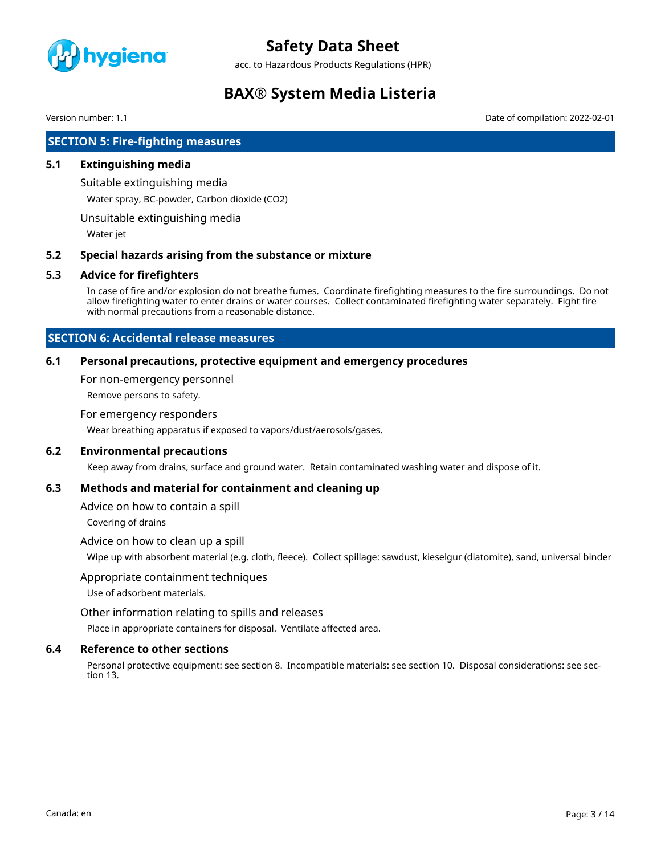

acc. to Hazardous Products Regulations (HPR)

# **BAX® System Media Listeria**

Version number: 1.1 Date of compilation: 2022-02-01

# **SECTION 5: Fire-fighting measures**

### **5.1 Extinguishing media**

Suitable extinguishing media

Water spray, BC-powder, Carbon dioxide (CO2)

Unsuitable extinguishing media

Water jet

#### **5.2 Special hazards arising from the substance or mixture**

#### **5.3 Advice for firefighters**

In case of fire and/or explosion do not breathe fumes. Coordinate firefighting measures to the fire surroundings. Do not allow firefighting water to enter drains or water courses. Collect contaminated firefighting water separately. Fight fire with normal precautions from a reasonable distance.

# **SECTION 6: Accidental release measures**

### **6.1 Personal precautions, protective equipment and emergency procedures**

For non-emergency personnel

Remove persons to safety.

#### For emergency responders

Wear breathing apparatus if exposed to vapors/dust/aerosols/gases.

### **6.2 Environmental precautions**

Keep away from drains, surface and ground water. Retain contaminated washing water and dispose of it.

### **6.3 Methods and material for containment and cleaning up**

Advice on how to contain a spill

Covering of drains

#### Advice on how to clean up a spill

Wipe up with absorbent material (e.g. cloth, fleece). Collect spillage: sawdust, kieselgur (diatomite), sand, universal binder

#### Appropriate containment techniques

Use of adsorbent materials.

Other information relating to spills and releases

Place in appropriate containers for disposal. Ventilate affected area.

### **6.4 Reference to other sections**

Personal protective equipment: see section 8. Incompatible materials: see section 10. Disposal considerations: see section 13.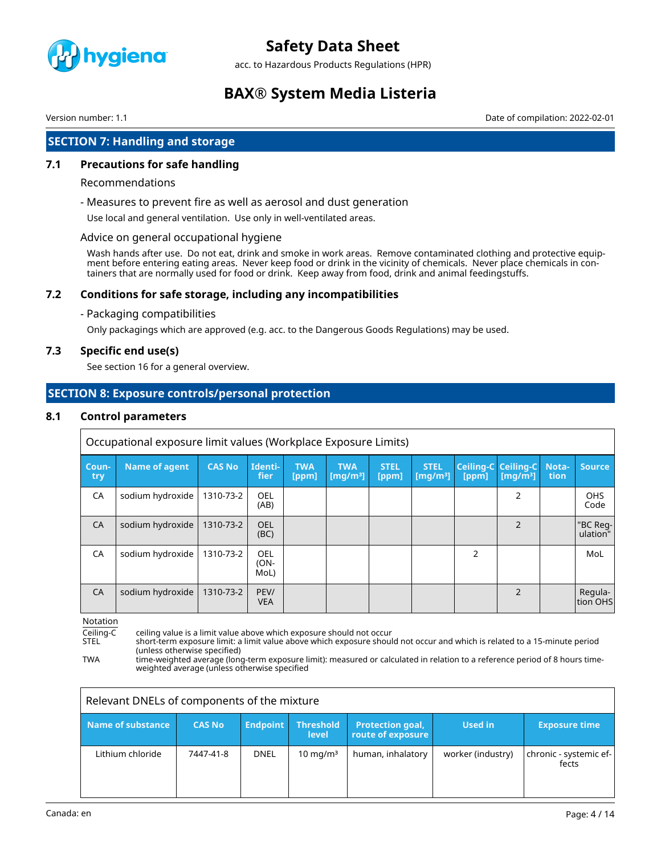

acc. to Hazardous Products Regulations (HPR)

# **BAX® System Media Listeria**

Version number: 1.1 Date of compilation: 2022-02-01

# **SECTION 7: Handling and storage**

# **7.1 Precautions for safe handling**

#### Recommendations

- Measures to prevent fire as well as aerosol and dust generation

Use local and general ventilation. Use only in well-ventilated areas.

### Advice on general occupational hygiene

Wash hands after use. Do not eat, drink and smoke in work areas. Remove contaminated clothing and protective equipment before entering eating areas. Never keep food or drink in the vicinity of chemicals. Never place chemicals in containers that are normally used for food or drink. Keep away from food, drink and animal feedingstuffs.

# **7.2 Conditions for safe storage, including any incompatibilities**

- Packaging compatibilities

Only packagings which are approved (e.g. acc. to the Dangerous Goods Regulations) may be used.

### **7.3 Specific end use(s)**

See section 16 for a general overview.

# **SECTION 8: Exposure controls/personal protection**

### **8.1 Control parameters**

|              | Occupational exposure limit values (Workplace Exposure Limits) |               |                     |                     |                           |                      |                                     |                |                                                        |               |                      |
|--------------|----------------------------------------------------------------|---------------|---------------------|---------------------|---------------------------|----------------------|-------------------------------------|----------------|--------------------------------------------------------|---------------|----------------------|
| Coun-<br>try | <b>Name of agent</b>                                           | <b>CAS No</b> | Identi-<br>fier     | <b>TWA</b><br>[ppm] | <b>TWA</b><br>[ $mq/m3$ ] | <b>STEL</b><br>[ppm] | <b>STEL</b><br>[mq/m <sup>3</sup> ] | [ppm]          | Ceiling-C Ceiling-C<br>$\lceil \mathsf{mq/m^3} \rceil$ | Nota-<br>tion | <b>Source</b>        |
| CA           | sodium hydroxide                                               | 1310-73-2     | OEL<br>(AB)         |                     |                           |                      |                                     |                | 2                                                      |               | <b>OHS</b><br>Code   |
| <b>CA</b>    | sodium hydroxide                                               | 1310-73-2     | OEL<br>(BC)         |                     |                           |                      |                                     |                | $\overline{2}$                                         |               | "BC Reg-<br>ulation" |
| CA           | sodium hydroxide                                               | 1310-73-2     | OEL<br>(ON-<br>MoL) |                     |                           |                      |                                     | $\overline{2}$ |                                                        |               | MoL                  |
| CA           | sodium hydroxide                                               | 1310-73-2     | PEV/<br><b>VEA</b>  |                     |                           |                      |                                     |                | $\mathcal{P}$                                          |               | Regula-<br>ltion OHS |

Notation

Ceiling-C ceiling value is a limit value above which exposure should not occur<br>STEL short-term exposure limit: a limit value above which exposure shoul

short-term exposure limit: a limit value above which exposure should not occur and which is related to a 15-minute period (unless otherwise specified)

TWA time-weighted average (long-term exposure limit): measured or calculated in relation to a reference period of 8 hours timeweighted average (unless otherwise specified

| Relevant DNELs of components of the mixture |               |                 |                           |                                       |                   |                                 |
|---------------------------------------------|---------------|-----------------|---------------------------|---------------------------------------|-------------------|---------------------------------|
| Name of substance                           | <b>CAS No</b> | <b>Endpoint</b> | <b>Threshold</b><br>level | Protection goal,<br>route of exposure | Used in           | <b>Exposure time</b>            |
| Lithium chloride                            | 7447-41-8     | <b>DNEL</b>     | $10 \text{ mg/m}^3$       | human, inhalatory                     | worker (industry) | chronic - systemic ef-<br>fects |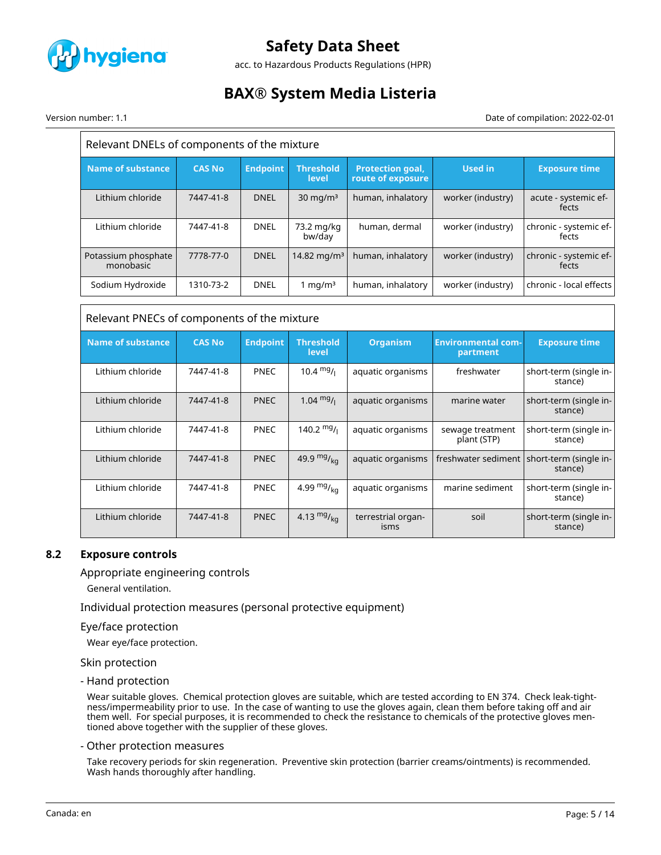

acc. to Hazardous Products Regulations (HPR)

# **BAX® System Media Listeria**

Version number: 1.1 Date of compilation: 2022-02-01

| Relevant DNELs of components of the mixture |               |                 |                           |                                              |                                       |                                   |
|---------------------------------------------|---------------|-----------------|---------------------------|----------------------------------------------|---------------------------------------|-----------------------------------|
| <b>Name of substance</b>                    | <b>CAS No</b> | <b>Endpoint</b> | <b>Threshold</b><br>level | <b>Protection goal,</b><br>route of exposure | <b>Used in</b>                        | <b>Exposure time</b>              |
| Lithium chloride                            | 7447-41-8     | <b>DNEL</b>     | $30 \text{ mg/m}^3$       | human, inhalatory                            | worker (industry)                     | acute - systemic ef-<br>fects     |
| Lithium chloride                            | 7447-41-8     | <b>DNEL</b>     | 73.2 mg/kg<br>bw/day      | human, dermal                                | worker (industry)                     | chronic - systemic ef-<br>fects   |
| Potassium phosphate<br>monobasic            | 7778-77-0     | <b>DNEL</b>     | 14.82 mg/m <sup>3</sup>   | human, inhalatory                            | worker (industry)                     | chronic - systemic ef-<br>fects   |
| Sodium Hydroxide                            | 1310-73-2     | <b>DNEL</b>     | 1 mg/ $m3$                | human, inhalatory                            | worker (industry)                     | chronic - local effects           |
| Relevant PNECs of components of the mixture |               |                 |                           |                                              |                                       |                                   |
|                                             |               |                 |                           |                                              |                                       |                                   |
| <b>Name of substance</b>                    | <b>CAS No</b> | <b>Endpoint</b> | <b>Threshold</b><br>level | <b>Organism</b>                              | <b>Environmental com-</b><br>partment | <b>Exposure time</b>              |
| Lithium chloride                            | 7447-41-8     | PNEC            | 10.4 $mg/$                | aquatic organisms                            | freshwater                            | short-term (single in-<br>stance) |
| Lithium chloride                            | 7447-41-8     | <b>PNEC</b>     | $1.04 \frac{mg}{l}$       | aquatic organisms                            | marine water                          | short-term (single in-<br>stance) |
| Lithium chloride                            | 7447-41-8     | PNEC            | 140.2 $mg/$               | aquatic organisms                            | sewage treatment<br>plant (STP)       | short-term (single in-<br>stance) |
| Lithium chloride                            | 7447-41-8     | <b>PNEC</b>     | 49.9 $mg/kq$              | aquatic organisms                            | freshwater sediment                   | short-term (single in-<br>stance) |
| Lithium chloride                            | 7447-41-8     | PNEC            | 4.99 $mg/kq$              | aquatic organisms                            | marine sediment                       | short-term (single in-<br>stance) |

### **8.2 Exposure controls**

### Appropriate engineering controls

General ventilation.

Individual protection measures (personal protective equipment)

#### Eye/face protection

Wear eye/face protection.

#### Skin protection

- Hand protection

Wear suitable gloves. Chemical protection gloves are suitable, which are tested according to EN 374. Check leak-tightness/impermeability prior to use. In the case of wanting to use the gloves again, clean them before taking off and air them well. For special purposes, it is recommended to check the resistance to chemicals of the protective gloves mentioned above together with the supplier of these gloves.

#### - Other protection measures

Take recovery periods for skin regeneration. Preventive skin protection (barrier creams/ointments) is recommended. Wash hands thoroughly after handling.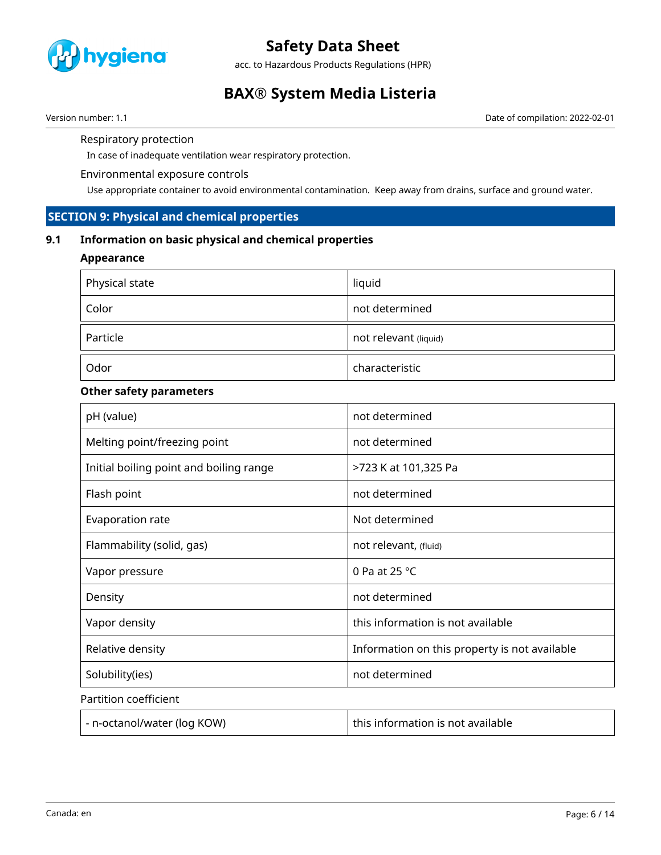

acc. to Hazardous Products Regulations (HPR)

# **BAX® System Media Listeria**

Version number: 1.1 **Date of compilation: 2022-02-01** Date of compilation: 2022-02-01

#### Respiratory protection

In case of inadequate ventilation wear respiratory protection.

### Environmental exposure controls

Use appropriate container to avoid environmental contamination. Keep away from drains, surface and ground water.

# **SECTION 9: Physical and chemical properties**

# **9.1 Information on basic physical and chemical properties**

### **Appearance**

| Physical state | liquid                |
|----------------|-----------------------|
| Color          | not determined        |
| Particle       | not relevant (liquid) |
| Odor           | characteristic        |

# **Other safety parameters**

| pH (value)                              | not determined                                |
|-----------------------------------------|-----------------------------------------------|
| Melting point/freezing point            | not determined                                |
| Initial boiling point and boiling range | >723 K at 101,325 Pa                          |
| Flash point                             | not determined                                |
| Evaporation rate                        | Not determined                                |
| Flammability (solid, gas)               | not relevant, (fluid)                         |
| Vapor pressure                          | 0 Pa at 25 $^{\circ}$ C                       |
| Density                                 | not determined                                |
| Vapor density                           | this information is not available             |
| Relative density                        | Information on this property is not available |
| Solubility(ies)                         | not determined                                |
| Partition coefficient                   |                                               |
| - n-octanol/water (log KOW)             | this information is not available             |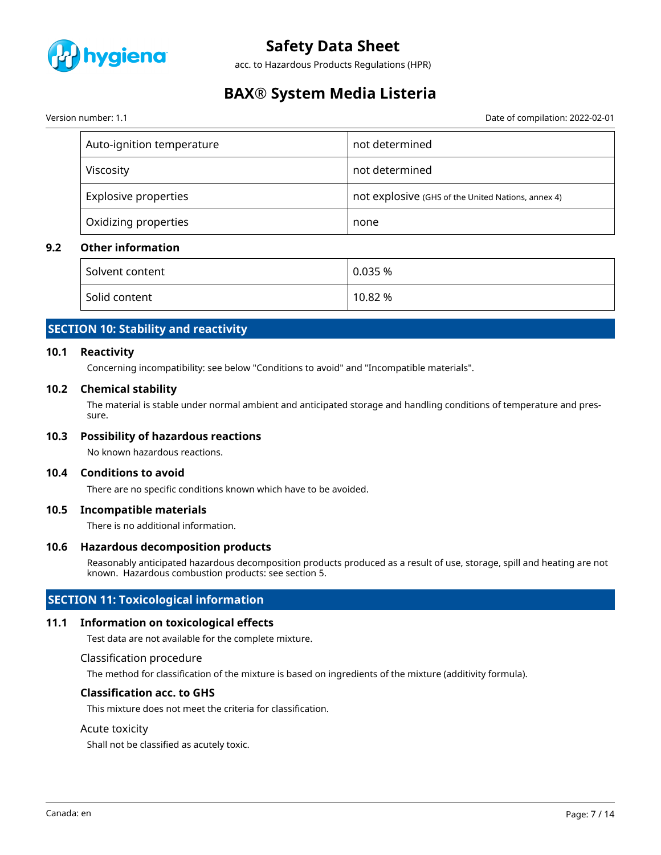

acc. to Hazardous Products Regulations (HPR)

# **BAX® System Media Listeria**

Version number: 1.1 Date of compilation: 2022-02-01

| Auto-ignition temperature   | not determined                                     |
|-----------------------------|----------------------------------------------------|
| Viscosity                   | not determined                                     |
| <b>Explosive properties</b> | not explosive (GHS of the United Nations, annex 4) |
| Oxidizing properties        | none                                               |

# **9.2 Other information**

| Solvent content | 0.035%  |
|-----------------|---------|
| Solid content   | 10.82 % |

# **SECTION 10: Stability and reactivity**

### **10.1 Reactivity**

Concerning incompatibility: see below "Conditions to avoid" and "Incompatible materials".

#### **10.2 Chemical stability**

The material is stable under normal ambient and anticipated storage and handling conditions of temperature and pressure.

### **10.3 Possibility of hazardous reactions**

No known hazardous reactions.

#### **10.4 Conditions to avoid**

There are no specific conditions known which have to be avoided.

#### **10.5 Incompatible materials**

There is no additional information.

#### **10.6 Hazardous decomposition products**

Reasonably anticipated hazardous decomposition products produced as a result of use, storage, spill and heating are not known. Hazardous combustion products: see section 5.

# **SECTION 11: Toxicological information**

### **11.1 Information on toxicological effects**

Test data are not available for the complete mixture.

Classification procedure

The method for classification of the mixture is based on ingredients of the mixture (additivity formula).

#### **Classification acc. to GHS**

This mixture does not meet the criteria for classification.

#### Acute toxicity

Shall not be classified as acutely toxic.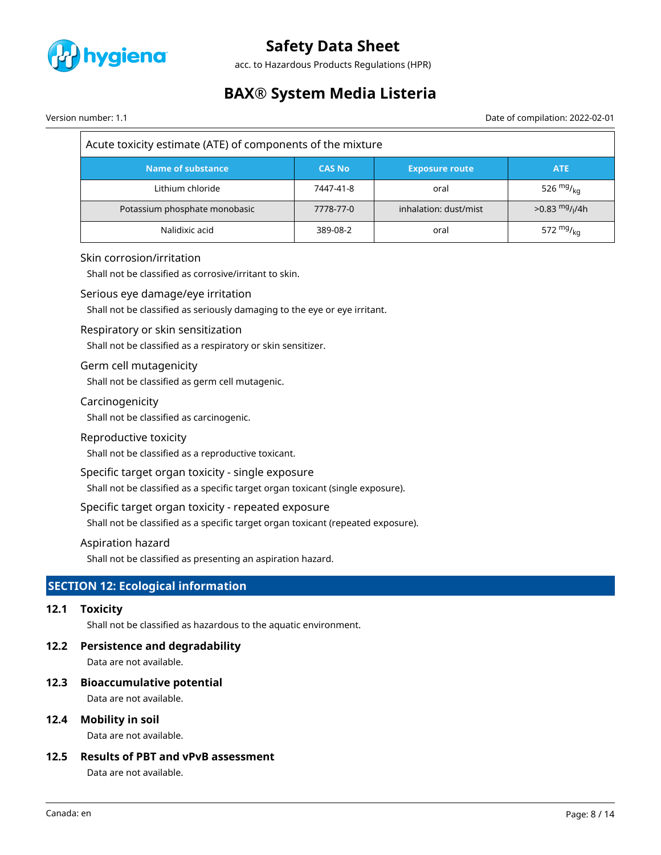

acc. to Hazardous Products Regulations (HPR)

# **BAX® System Media Listeria**

Version number: 1.1 Date of compilation: 2022-02-01

| Acute toxicity estimate (ATE) of components of the mixture |               |                       |                                         |  |  |
|------------------------------------------------------------|---------------|-----------------------|-----------------------------------------|--|--|
| Name of substance                                          | <b>CAS No</b> | <b>Exposure route</b> | <b>ATE</b>                              |  |  |
| Lithium chloride                                           | 7447-41-8     | oral                  | 526 $mg/kq$                             |  |  |
| Potassium phosphate monobasic                              | 7778-77-0     | inhalation: dust/mist | $>0.83 \frac{mg}{l}$ / <sub>1</sub> /4h |  |  |
| Nalidixic acid                                             | 389-08-2      | oral                  | 572 $mg_{kq}$                           |  |  |

### Skin corrosion/irritation

Shall not be classified as corrosive/irritant to skin.

#### Serious eye damage/eye irritation

Shall not be classified as seriously damaging to the eye or eye irritant.

#### Respiratory or skin sensitization

Shall not be classified as a respiratory or skin sensitizer.

### Germ cell mutagenicity

Shall not be classified as germ cell mutagenic.

### Carcinogenicity

Shall not be classified as carcinogenic.

#### Reproductive toxicity

Shall not be classified as a reproductive toxicant.

# Specific target organ toxicity - single exposure

Shall not be classified as a specific target organ toxicant (single exposure).

#### Specific target organ toxicity - repeated exposure

Shall not be classified as a specific target organ toxicant (repeated exposure).

#### Aspiration hazard

Shall not be classified as presenting an aspiration hazard.

# **SECTION 12: Ecological information**

# **12.1 Toxicity**

Shall not be classified as hazardous to the aquatic environment.

### **12.2 Persistence and degradability**

Data are not available.

### **12.3 Bioaccumulative potential**

Data are not available.

### **12.4 Mobility in soil**

Data are not available.

# **12.5 Results of PBT and vPvB assessment**

Data are not available.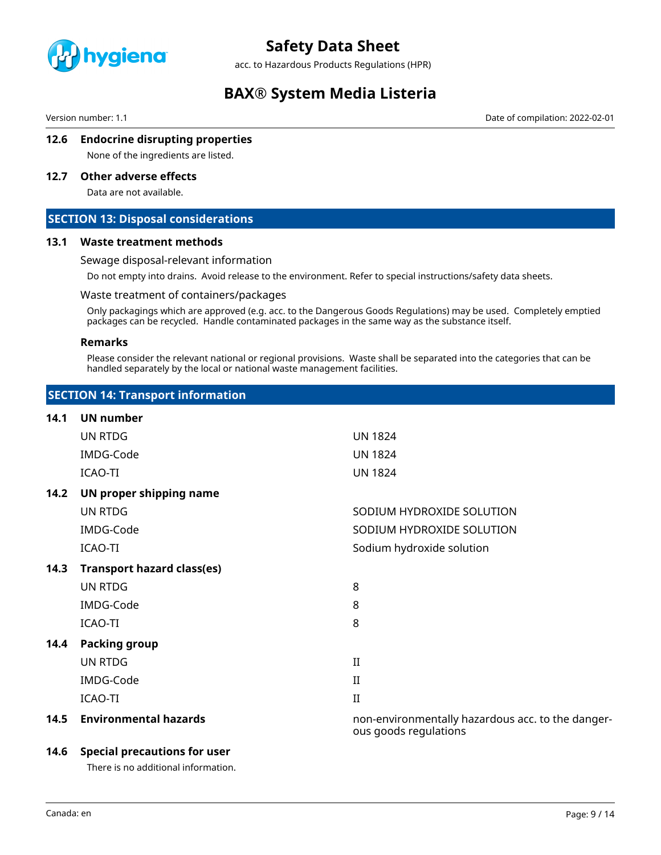

acc. to Hazardous Products Regulations (HPR)

# **BAX® System Media Listeria**

Version number: 1.1 Date of compilation: 2022-02-01

# **12.6 Endocrine disrupting properties**

None of the ingredients are listed.

# **12.7 Other adverse effects**

Data are not available.

# **SECTION 13: Disposal considerations**

#### **13.1 Waste treatment methods**

#### Sewage disposal-relevant information

Do not empty into drains. Avoid release to the environment. Refer to special instructions/safety data sheets.

#### Waste treatment of containers/packages

Only packagings which are approved (e.g. acc. to the Dangerous Goods Regulations) may be used. Completely emptied packages can be recycled. Handle contaminated packages in the same way as the substance itself.

#### **Remarks**

Please consider the relevant national or regional provisions. Waste shall be separated into the categories that can be handled separately by the local or national waste management facilities.

| <b>SECTION 14: Transport information</b> |
|------------------------------------------|
|------------------------------------------|

| 14.1 | <b>UN number</b>                  |                                                                            |
|------|-----------------------------------|----------------------------------------------------------------------------|
|      | UN RTDG                           | <b>UN 1824</b>                                                             |
|      | IMDG-Code                         | <b>UN 1824</b>                                                             |
|      | ICAO-TI                           | <b>UN 1824</b>                                                             |
| 14.2 | UN proper shipping name           |                                                                            |
|      | UN RTDG                           | SODIUM HYDROXIDE SOLUTION                                                  |
|      | IMDG-Code                         | SODIUM HYDROXIDE SOLUTION                                                  |
|      | ICAO-TI                           | Sodium hydroxide solution                                                  |
| 14.3 | <b>Transport hazard class(es)</b> |                                                                            |
|      | UN RTDG                           | 8                                                                          |
|      | IMDG-Code                         | 8                                                                          |
|      | ICAO-TI                           | 8                                                                          |
| 14.4 | <b>Packing group</b>              |                                                                            |
|      | UN RTDG                           | $\rm II$                                                                   |
|      | IMDG-Code                         | $_{\rm II}$                                                                |
|      | ICAO-TI                           | $\rm II$                                                                   |
| 14.5 | <b>Environmental hazards</b>      | non-environmentally hazardous acc. to the danger-<br>ous goods regulations |

### **14.6 Special precautions for user**

There is no additional information.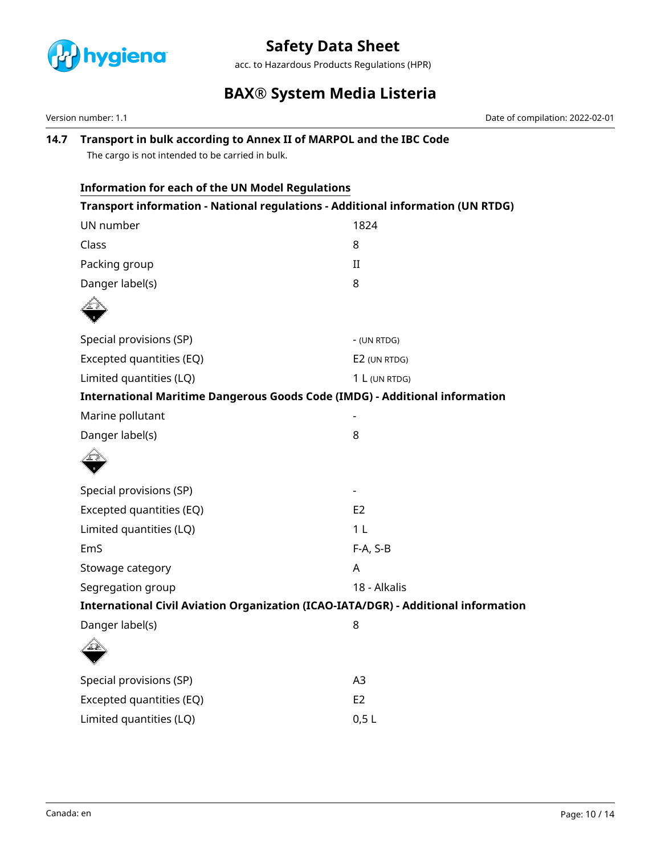

acc. to Hazardous Products Regulations (HPR)

# **BAX® System Media Listeria**

Version number: 1.1 Date of compilation: 2022-02-01

# **14.7 Transport in bulk according to Annex II of MARPOL and the IBC Code**

The cargo is not intended to be carried in bulk.

| Information for each of the UN Model Regulations                                   |  |  |  |  |  |
|------------------------------------------------------------------------------------|--|--|--|--|--|
| Transport information - National regulations - Additional information (UN RTDG)    |  |  |  |  |  |
| 1824                                                                               |  |  |  |  |  |
| 8                                                                                  |  |  |  |  |  |
| $\rm II$                                                                           |  |  |  |  |  |
| 8                                                                                  |  |  |  |  |  |
|                                                                                    |  |  |  |  |  |
| - (UN RTDG)                                                                        |  |  |  |  |  |
| E2 (UN RTDG)                                                                       |  |  |  |  |  |
| 1 L (UN RTDG)                                                                      |  |  |  |  |  |
| <b>International Maritime Dangerous Goods Code (IMDG) - Additional information</b> |  |  |  |  |  |
|                                                                                    |  |  |  |  |  |
| 8                                                                                  |  |  |  |  |  |
|                                                                                    |  |  |  |  |  |
|                                                                                    |  |  |  |  |  |
| E2                                                                                 |  |  |  |  |  |
| 1 <sub>L</sub>                                                                     |  |  |  |  |  |
| F-A, S-B                                                                           |  |  |  |  |  |
| A                                                                                  |  |  |  |  |  |
| 18 - Alkalis                                                                       |  |  |  |  |  |
| International Civil Aviation Organization (ICAO-IATA/DGR) - Additional information |  |  |  |  |  |
| 8                                                                                  |  |  |  |  |  |
|                                                                                    |  |  |  |  |  |
| A <sub>3</sub>                                                                     |  |  |  |  |  |
| E <sub>2</sub>                                                                     |  |  |  |  |  |
| 0,5L                                                                               |  |  |  |  |  |
|                                                                                    |  |  |  |  |  |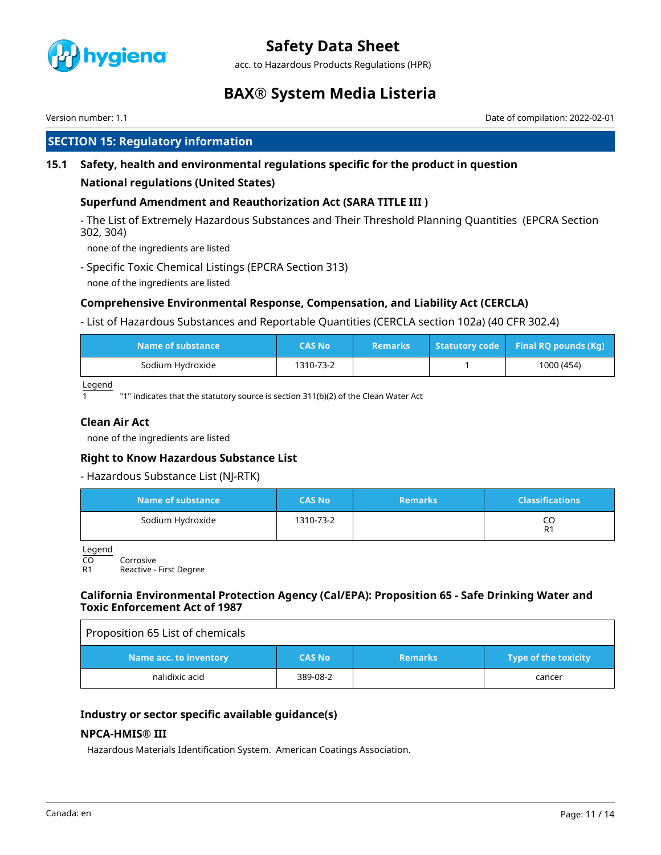

acc. to Hazardous Products Regulations (HPR)

# **BAX® System Media Listeria**

Version number: 1.1 Date of compilation: 2022-02-01

# **SECTION 15: Regulatory information**

# **15.1 Safety, health and environmental regulations specific for the product in question**

### **National regulations (United States)**

# **Superfund Amendment and Reauthorization Act (SARA TITLE III )**

- The List of Extremely Hazardous Substances and Their Threshold Planning Quantities (EPCRA Section 302, 304)

none of the ingredients are listed

- Specific Toxic Chemical Listings (EPCRA Section 313)
- none of the ingredients are listed

# **Comprehensive Environmental Response, Compensation, and Liability Act (CERCLA)**

- List of Hazardous Substances and Reportable Quantities (CERCLA section 102a) (40 CFR 302.4)

| Name of substance | CAS No    | <b>Remarks</b> | Statutory code Final RQ pounds (Kg) |
|-------------------|-----------|----------------|-------------------------------------|
| Sodium Hydroxide  | 1310-73-2 |                | 1000 (454)                          |

Legend

 $\overline{1}$   $\overline{1}$   $\overline{1}$  "1" indicates that the statutory source is section 311(b)(2) of the Clean Water Act

# **Clean Air Act**

none of the ingredients are listed

### **Right to Know Hazardous Substance List**

### - Hazardous Substance List (NJ-RTK)

| Name of substance | <b>CAS No</b> | <b>Remarks</b> | <b>Classifications</b> |
|-------------------|---------------|----------------|------------------------|
| Sodium Hydroxide  | 1310-73-2     |                | CO<br>R1               |

Legend

CO Corrosive<br>R1 Reactive -

Reactive - First Degree

### **California Environmental Protection Agency (Cal/EPA): Proposition 65 - Safe Drinking Water and Toxic Enforcement Act of 1987**

| Proposition 65 List of chemicals |               |                |                             |
|----------------------------------|---------------|----------------|-----------------------------|
| Name acc. to inventory           | <b>CAS No</b> | <b>Remarks</b> | <b>Type of the toxicity</b> |
| nalidixic acid                   | 389-08-2      |                | cancer                      |

### **Industry or sector specific available guidance(s)**

### **NPCA-HMIS® III**

Hazardous Materials Identification System. American Coatings Association.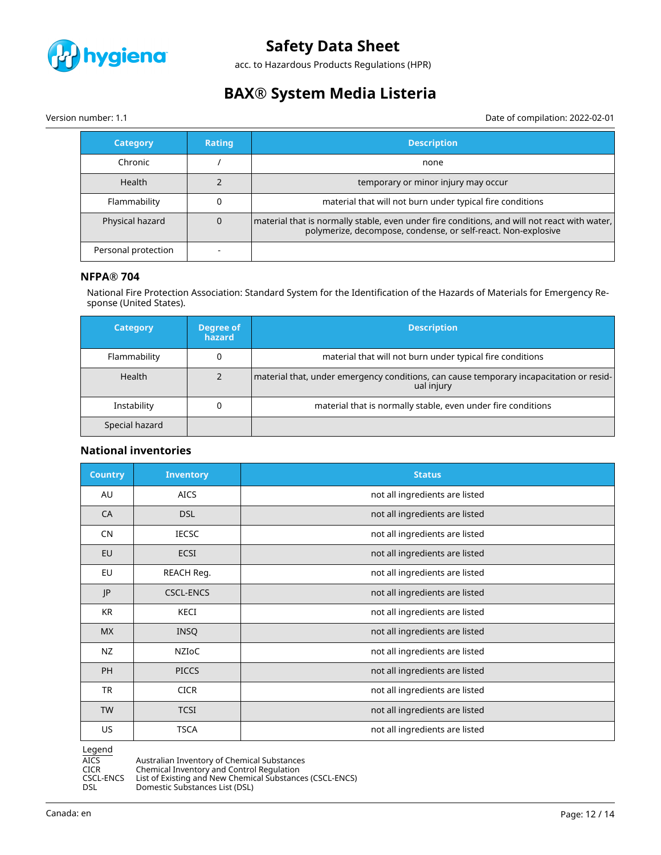

acc. to Hazardous Products Regulations (HPR)

# **BAX® System Media Listeria**

Version number: 1.1 Date of compilation: 2022-02-01

| <b>Category</b>     | <b>Rating</b> | Description                                                                                                                                                   |
|---------------------|---------------|---------------------------------------------------------------------------------------------------------------------------------------------------------------|
| Chronic             |               | none                                                                                                                                                          |
| Health              |               | temporary or minor injury may occur                                                                                                                           |
| Flammability        |               | material that will not burn under typical fire conditions                                                                                                     |
| Physical hazard     |               | material that is normally stable, even under fire conditions, and will not react with water,<br>polymerize, decompose, condense, or self-react. Non-explosive |
| Personal protection |               |                                                                                                                                                               |

#### **NFPA® 704**

National Fire Protection Association: Standard System for the Identification of the Hazards of Materials for Emergency Response (United States).

| <b>Category</b> | Degree of<br>hazard | <b>Description</b>                                                                                    |
|-----------------|---------------------|-------------------------------------------------------------------------------------------------------|
| Flammability    |                     | material that will not burn under typical fire conditions                                             |
| Health          |                     | material that, under emergency conditions, can cause temporary incapacitation or resid-<br>ual injury |
| Instability     |                     | material that is normally stable, even under fire conditions                                          |
| Special hazard  |                     |                                                                                                       |

### **National inventories**

| <b>Country</b> | <b>Inventory</b> | <b>Status</b>                  |
|----------------|------------------|--------------------------------|
| AU             | <b>AICS</b>      | not all ingredients are listed |
| CA             | <b>DSL</b>       | not all ingredients are listed |
| CN             | <b>IECSC</b>     | not all ingredients are listed |
| EU             | <b>ECSI</b>      | not all ingredients are listed |
| EU             | REACH Reg.       | not all ingredients are listed |
| JP             | <b>CSCL-ENCS</b> | not all ingredients are listed |
| KR             | KECI             | not all ingredients are listed |
| <b>MX</b>      | <b>INSQ</b>      | not all ingredients are listed |
| <b>NZ</b>      | NZIOC            | not all ingredients are listed |
| <b>PH</b>      | <b>PICCS</b>     | not all ingredients are listed |
| <b>TR</b>      | <b>CICR</b>      | not all ingredients are listed |
| <b>TW</b>      | <b>TCSI</b>      | not all ingredients are listed |
| US.            | <b>TSCA</b>      | not all ingredients are listed |

Legend

AICS Australian Inventory of Chemical Substances<br>CICR Chemical Inventory and Control Regulation CICR Chemical Inventory and Control Regulation

CSCL-ENCS List of Existing and New Chemical Substances (CSCL-ENCS)

DSL Domestic Substances List (DSL)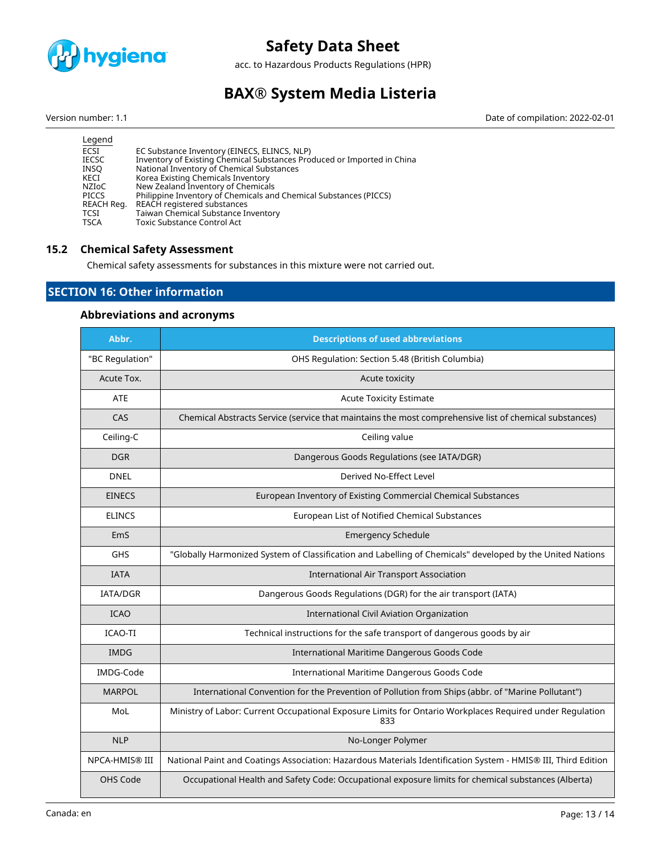

acc. to Hazardous Products Regulations (HPR)

# **BAX® System Media Listeria**

Version number: 1.1 Date of compilation: 2022-02-01

| Inventory of Existing Chemical Substances Produced or Imported in China |
|-------------------------------------------------------------------------|
|                                                                         |
|                                                                         |
|                                                                         |
|                                                                         |
|                                                                         |
|                                                                         |
|                                                                         |
|                                                                         |

# **15.2 Chemical Safety Assessment**

Chemical safety assessments for substances in this mixture were not carried out.

# **SECTION 16: Other information**

# **Abbreviations and acronyms**

| Abbr.           | <b>Descriptions of used abbreviations</b>                                                                       |
|-----------------|-----------------------------------------------------------------------------------------------------------------|
| "BC Regulation" | OHS Regulation: Section 5.48 (British Columbia)                                                                 |
| Acute Tox.      | Acute toxicity                                                                                                  |
| <b>ATE</b>      | <b>Acute Toxicity Estimate</b>                                                                                  |
| CAS             | Chemical Abstracts Service (service that maintains the most comprehensive list of chemical substances)          |
| Ceiling-C       | Ceiling value                                                                                                   |
| <b>DGR</b>      | Dangerous Goods Regulations (see IATA/DGR)                                                                      |
| <b>DNEL</b>     | Derived No-Effect Level                                                                                         |
| <b>EINECS</b>   | European Inventory of Existing Commercial Chemical Substances                                                   |
| <b>ELINCS</b>   | European List of Notified Chemical Substances                                                                   |
| EmS             | <b>Emergency Schedule</b>                                                                                       |
| GHS             | "Globally Harmonized System of Classification and Labelling of Chemicals" developed by the United Nations       |
| <b>IATA</b>     | <b>International Air Transport Association</b>                                                                  |
| <b>IATA/DGR</b> | Dangerous Goods Regulations (DGR) for the air transport (IATA)                                                  |
| <b>ICAO</b>     | <b>International Civil Aviation Organization</b>                                                                |
| <b>ICAO-TI</b>  | Technical instructions for the safe transport of dangerous goods by air                                         |
| <b>IMDG</b>     | International Maritime Dangerous Goods Code                                                                     |
| IMDG-Code       | International Maritime Dangerous Goods Code                                                                     |
| <b>MARPOL</b>   | International Convention for the Prevention of Pollution from Ships (abbr. of "Marine Pollutant")               |
| MoL             | Ministry of Labor: Current Occupational Exposure Limits for Ontario Workplaces Required under Regulation<br>833 |
| <b>NLP</b>      | No-Longer Polymer                                                                                               |
| NPCA-HMIS® III  | National Paint and Coatings Association: Hazardous Materials Identification System - HMIS® III, Third Edition   |
| OHS Code        | Occupational Health and Safety Code: Occupational exposure limits for chemical substances (Alberta)             |